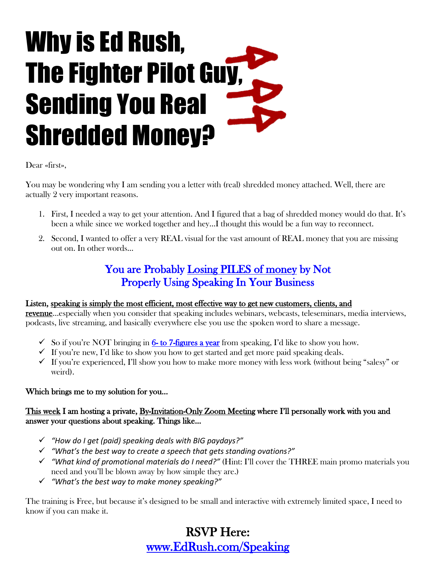# Why is Ed Rush, The Fighter Pilot Guy, Sending You Real Shredded Money?

Dear «first»,

You may be wondering why I am sending you a letter with (real) shredded money attached. Well, there are actually 2 very important reasons.

- 1. First, I needed a way to get your attention. And I figured that a bag of shredded money would do that. It's been a while since we worked together and hey…I thought this would be a fun way to reconnect.
- 2. Second, I wanted to offer a very REAL visual for the vast amount of REAL money that you are missing out on. In other words…

### You are Probably Losing PILES of money by Not Properly Using Speaking In Your Business

#### Listen, speaking is simply the most efficient, most effective way to get new customers, clients, and

revenue…especially when you consider that speaking includes webinars, webcasts, teleseminars, media interviews, podcasts, live streaming, and basically everywhere else you use the spoken word to share a message.

- $\checkmark$  So if you're NOT bringing in 6- to 7-figures a year from speaking, I'd like to show you how.
- $\checkmark$  If you're new, I'd like to show you how to get started and get more paid speaking deals.
- $\checkmark$  If you're experienced, I'll show you how to make more money with less work (without being "salesy" or weird).

#### Which brings me to my solution for you…

#### This week I am hosting a private, By-Invitation-Only Zoom Meeting where I'll personally work with you and answer your questions about speaking. Things like…

- *"How do I get (paid) speaking deals with BIG paydays?"*
- *"What's the best way to create a speech that gets standing ovations?"*
- *"What kind of promotional materials do I need?"* (Hint: I'll cover the THREE main promo materials you need and you'll be blown away by how simple they are.)
- *"What's the best way to make money speaking?"*

The training is Free, but because it's designed to be small and interactive with extremely limited space, I need to know if you can make it.

## RSVP Here: www.EdRush.com/Speaking